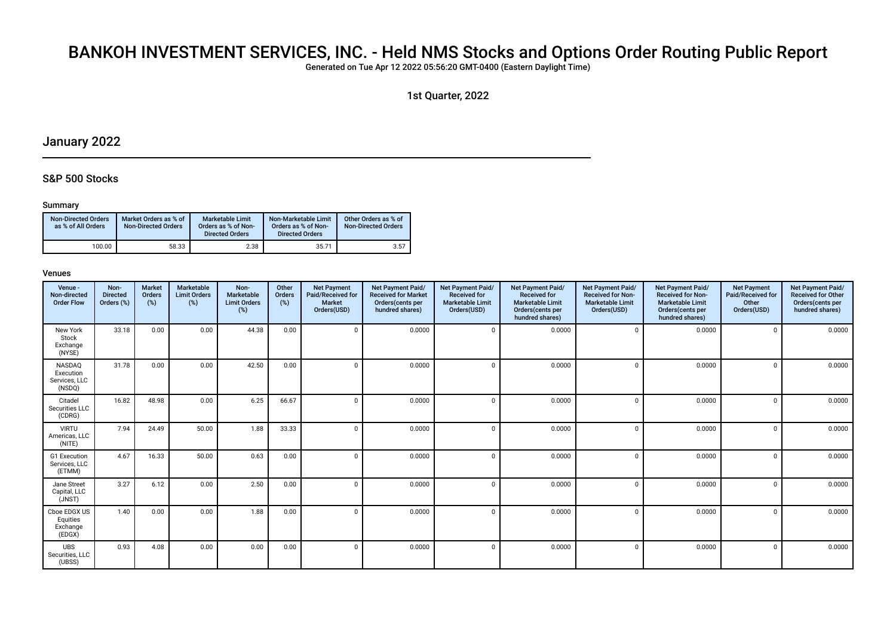# BANKOH INVESTMENT SERVICES, INC. - Held NMS Stocks and Options Order Routing Public Report

Generated on Tue Apr 12 2022 05:56:20 GMT-0400 (Eastern Daylight Time)

1st Quarter, 2022

# January 2022

# S&P 500 Stocks

### Summary

| <b>Non-Directed Orders</b><br>as % of All Orders | Market Orders as % of<br><b>Non-Directed Orders</b> | Marketable Limit<br>Orders as % of Non-<br><b>Directed Orders</b> | Non-Marketable Limit<br>Orders as % of Non-<br><b>Directed Orders</b> | Other Orders as % of<br><b>Non-Directed Orders</b> |
|--------------------------------------------------|-----------------------------------------------------|-------------------------------------------------------------------|-----------------------------------------------------------------------|----------------------------------------------------|
| 100.00                                           | 58.33                                               | 2.38                                                              | 35.71                                                                 | 3.57                                               |

| Venue -<br>Non-directed<br><b>Order Flow</b>          | Non-<br><b>Directed</b><br>Orders (%) | <b>Market</b><br>Orders<br>(%) | Marketable<br><b>Limit Orders</b><br>(%) | Non-<br>Marketable<br><b>Limit Orders</b><br>(%) | Other<br>Orders<br>(%) | <b>Net Payment</b><br>Paid/Received for<br><b>Market</b><br>Orders(USD) | Net Payment Paid/<br><b>Received for Market</b><br>Orders(cents per<br>hundred shares) | Net Payment Paid/<br><b>Received for</b><br><b>Marketable Limit</b><br>Orders(USD) | Net Payment Paid/<br><b>Received for</b><br><b>Marketable Limit</b><br>Orders (cents per<br>hundred shares) | Net Payment Paid/<br><b>Received for Non-</b><br><b>Marketable Limit</b><br>Orders(USD) | Net Payment Paid/<br><b>Received for Non-</b><br><b>Marketable Limit</b><br>Orders (cents per<br>hundred shares) | <b>Net Payment</b><br>Paid/Received for<br>Other<br>Orders(USD) | Net Payment Paid/<br><b>Received for Other</b><br>Orders(cents per<br>hundred shares) |
|-------------------------------------------------------|---------------------------------------|--------------------------------|------------------------------------------|--------------------------------------------------|------------------------|-------------------------------------------------------------------------|----------------------------------------------------------------------------------------|------------------------------------------------------------------------------------|-------------------------------------------------------------------------------------------------------------|-----------------------------------------------------------------------------------------|------------------------------------------------------------------------------------------------------------------|-----------------------------------------------------------------|---------------------------------------------------------------------------------------|
| New York<br>Stock<br>Exchange<br>(NYSE)               | 33.18                                 | 0.00                           | 0.00                                     | 44.38                                            | 0.00                   |                                                                         | 0.0000                                                                                 | $\mathbf 0$                                                                        | 0.0000                                                                                                      | $\Omega$                                                                                | 0.0000                                                                                                           | $\mathbf{0}$                                                    | 0.0000                                                                                |
| <b>NASDAQ</b><br>Execution<br>Services, LLC<br>(NSDQ) | 31.78                                 | 0.00                           | 0.00                                     | 42.50                                            | 0.00                   |                                                                         | 0.0000                                                                                 | $\mathbf 0$                                                                        | 0.0000                                                                                                      | $\Omega$                                                                                | 0.0000                                                                                                           | $\mathbf 0$                                                     | 0.0000                                                                                |
| Citadel<br>Securities LLC<br>(CDRG)                   | 16.82                                 | 48.98                          | 0.00                                     | 6.25                                             | 66.67                  |                                                                         | 0.0000                                                                                 | $\mathbf 0$                                                                        | 0.0000                                                                                                      | $\Omega$                                                                                | 0.0000                                                                                                           | $\mathbf 0$                                                     | 0.0000                                                                                |
| <b>VIRTU</b><br>Americas, LLC<br>(NITE)               | 7.94                                  | 24.49                          | 50.00                                    | 1.88                                             | 33.33                  |                                                                         | 0.0000                                                                                 | $\mathbf 0$                                                                        | 0.0000                                                                                                      | $\Omega$                                                                                | 0.0000                                                                                                           | $\mathbf{0}$                                                    | 0.0000                                                                                |
| G1 Execution<br>Services, LLC<br>(ETMM)               | 4.67                                  | 16.33                          | 50.00                                    | 0.63                                             | 0.00                   | $\Omega$                                                                | 0.0000                                                                                 | $\mathbf 0$                                                                        | 0.0000                                                                                                      | $\Omega$                                                                                | 0.0000                                                                                                           | $\mathbf 0$                                                     | 0.0000                                                                                |
| Jane Street<br>Capital, LLC<br>(JNST)                 | 3.27                                  | 6.12                           | 0.00                                     | 2.50                                             | 0.00                   |                                                                         | 0.0000                                                                                 | $\mathbf 0$                                                                        | 0.0000                                                                                                      | $\Omega$                                                                                | 0.0000                                                                                                           | $\mathbf{0}$                                                    | 0.0000                                                                                |
| Cboe EDGX US<br>Equities<br>Exchange<br>(EDGX)        | 1.40                                  | 0.00                           | 0.00                                     | 1.88                                             | 0.00                   |                                                                         | 0.0000                                                                                 | $\mathbf 0$                                                                        | 0.0000                                                                                                      | $\Omega$                                                                                | 0.0000                                                                                                           | $\mathbf 0$                                                     | 0.0000                                                                                |
| <b>UBS</b><br>Securities, LLC<br>(UBSS)               | 0.93                                  | 4.08                           | 0.00                                     | 0.00                                             | 0.00                   |                                                                         | 0.0000                                                                                 | $\mathbf 0$                                                                        | 0.0000                                                                                                      | $\Omega$                                                                                | 0.0000                                                                                                           | $\mathbf 0$                                                     | 0.0000                                                                                |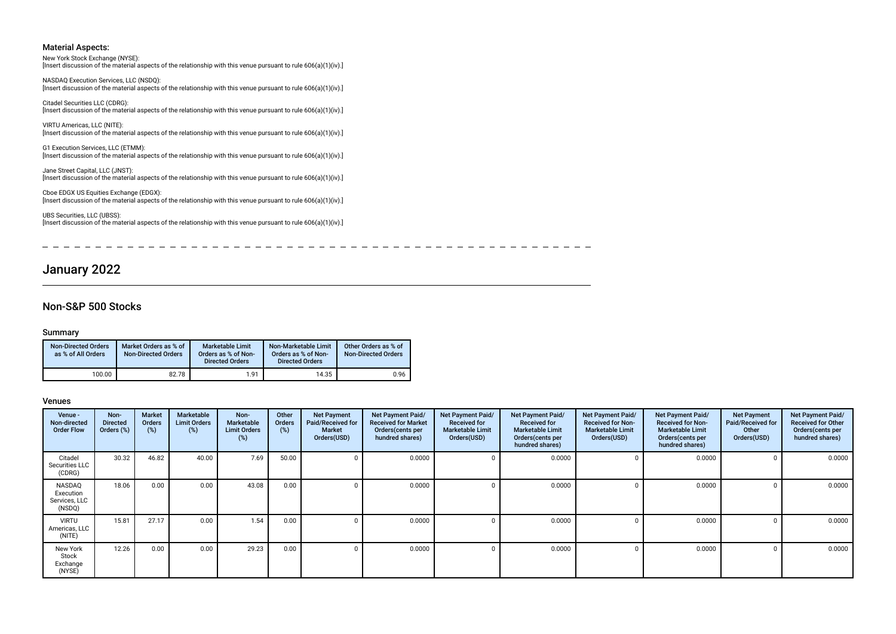#### New York Stock Exchange (NYSE):

[Insert discussion of the material aspects of the relationship with this venue pursuant to rule 606(a)(1)(iv).]

NASDAQ Execution Services, LLC (NSDQ): [Insert discussion of the material aspects of the relationship with this venue pursuant to rule 606(a)(1)(iv).]

Citadel Securities LLC (CDRG): [Insert discussion of the material aspects of the relationship with this venue pursuant to rule 606(a)(1)(iv).]

VIRTU Americas, LLC (NITE): [Insert discussion of the material aspects of the relationship with this venue pursuant to rule 606(a)(1)(iv).]

G1 Execution Services, LLC (ETMM): [Insert discussion of the material aspects of the relationship with this venue pursuant to rule 606(a)(1)(iv).]

Jane Street Capital, LLC (JNST): [Insert discussion of the material aspects of the relationship with this venue pursuant to rule 606(a)(1)(iv).]

Cboe EDGX US Equities Exchange (EDGX): [Insert discussion of the material aspects of the relationship with this venue pursuant to rule 606(a)(1)(iv).]

UBS Securities, LLC (UBSS): Insert discussion of the material aspects of the relationship with this venue pursuant to rule 606(a)(1)(iv).]

\_\_\_\_\_\_\_\_\_\_\_\_\_\_\_\_\_\_\_\_\_\_\_  $\frac{1}{2}$  and  $\frac{1}{2}$  and  $\frac{1}{2}$  and  $\frac{1}{2}$  and  $\frac{1}{2}$  $\sim$ 

# January 2022

### Non-S&P 500 Stocks

#### Summary

| <b>Non-Directed Orders</b><br>as % of All Orders | Market Orders as % of<br><b>Non-Directed Orders</b> | <b>Marketable Limit</b><br>Orders as % of Non-<br><b>Directed Orders</b> | Non-Marketable Limit<br>Orders as % of Non-<br><b>Directed Orders</b> | Other Orders as % of<br><b>Non-Directed Orders</b> |
|--------------------------------------------------|-----------------------------------------------------|--------------------------------------------------------------------------|-----------------------------------------------------------------------|----------------------------------------------------|
| 100.00                                           | 82.78                                               | 1.91                                                                     | 14.35                                                                 | 0.96                                               |

| Venue -<br>Non-directed<br><b>Order Flow</b>   | Non-<br><b>Directed</b><br>Orders (%) | Market<br>Orders<br>$(\%)$ | Marketable<br><b>Limit Orders</b><br>(%) | Non-<br><b>Marketable</b><br><b>Limit Orders</b><br>(%) | Other<br>Orders<br>$(\%)$ | <b>Net Payment</b><br>Paid/Received for<br><b>Market</b><br>Orders(USD) | Net Payment Paid/<br><b>Received for Market</b><br>Orders (cents per<br>hundred shares) | Net Payment Paid/<br><b>Received for</b><br><b>Marketable Limit</b><br>Orders(USD) | Net Payment Paid/<br><b>Received for</b><br><b>Marketable Limit</b><br>Orders (cents per<br>hundred shares) | Net Payment Paid/<br><b>Received for Non-</b><br><b>Marketable Limit</b><br>Orders(USD) | Net Payment Paid/<br><b>Received for Non-</b><br><b>Marketable Limit</b><br>Orders (cents per<br>hundred shares) | <b>Net Payment</b><br>Paid/Received for<br>Other<br>Orders(USD) | Net Payment Paid/<br><b>Received for Other</b><br>Orders(cents per<br>hundred shares) |
|------------------------------------------------|---------------------------------------|----------------------------|------------------------------------------|---------------------------------------------------------|---------------------------|-------------------------------------------------------------------------|-----------------------------------------------------------------------------------------|------------------------------------------------------------------------------------|-------------------------------------------------------------------------------------------------------------|-----------------------------------------------------------------------------------------|------------------------------------------------------------------------------------------------------------------|-----------------------------------------------------------------|---------------------------------------------------------------------------------------|
| Citadel<br>Securities LLC<br>(CDRG)            | 30.32                                 | 46.82                      | 40.00                                    | 7.69                                                    | 50.00                     |                                                                         | 0.0000                                                                                  | $\Omega$                                                                           | 0.0000                                                                                                      |                                                                                         | 0.0000                                                                                                           | $\Omega$                                                        | 0.0000                                                                                |
| NASDAQ<br>Execution<br>Services, LLC<br>(NSDQ) | 18.06                                 | 0.00                       | 0.00                                     | 43.08                                                   | 0.00                      |                                                                         | 0.0000                                                                                  | $\Omega$                                                                           | 0.0000                                                                                                      |                                                                                         | 0.0000                                                                                                           | $\Omega$                                                        | 0.0000                                                                                |
| <b>VIRTU</b><br>Americas, LLC<br>(NITE)        | 15.81                                 | 27.17                      | 0.00                                     | 1.54                                                    | 0.00                      |                                                                         | 0.0000                                                                                  | 0                                                                                  | 0.0000                                                                                                      |                                                                                         | 0.0000                                                                                                           | 0                                                               | 0.0000                                                                                |
| New York<br>Stock<br>Exchange<br>(NYSE)        | 12.26                                 | 0.00                       | 0.00                                     | 29.23                                                   | 0.00                      |                                                                         | 0.0000                                                                                  | 0                                                                                  | 0.0000                                                                                                      |                                                                                         | 0.0000                                                                                                           | 0                                                               | 0.0000                                                                                |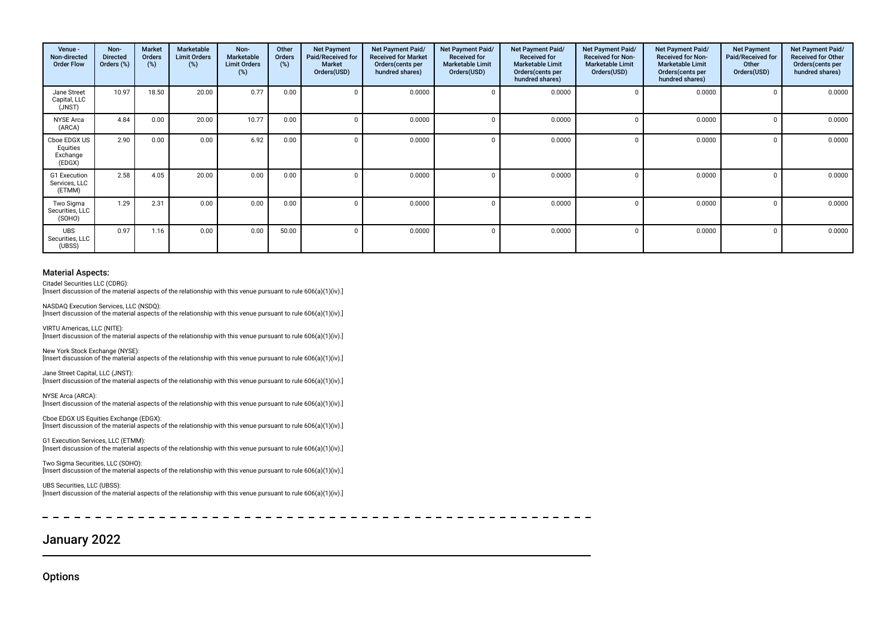| Venue -<br>Non-directed<br><b>Order Flow</b>   | Non-<br><b>Directed</b><br>Orders (%) | Market<br><b>Orders</b><br>(%) | Marketable<br><b>Limit Orders</b><br>(%) | Non-<br><b>Marketable</b><br><b>Limit Orders</b><br>(%) | Other<br>Orders<br>(%) | <b>Net Payment</b><br>Paid/Received for<br><b>Market</b><br>Orders(USD) | Net Payment Paid/<br><b>Received for Market</b><br>Orders(cents per<br>hundred shares) | Net Payment Paid/<br><b>Received for</b><br><b>Marketable Limit</b><br>Orders(USD) | Net Payment Paid/<br><b>Received for</b><br><b>Marketable Limit</b><br>Orders(cents per<br>hundred shares) | Net Payment Paid/<br><b>Received for Non-</b><br><b>Marketable Limit</b><br>Orders(USD) | Net Payment Paid/<br><b>Received for Non-</b><br><b>Marketable Limit</b><br>Orders (cents per<br>hundred shares) | <b>Net Payment</b><br>Paid/Received for<br>Other<br>Orders(USD) | Net Payment Paid/<br><b>Received for Other</b><br>Orders(cents per<br>hundred shares) |
|------------------------------------------------|---------------------------------------|--------------------------------|------------------------------------------|---------------------------------------------------------|------------------------|-------------------------------------------------------------------------|----------------------------------------------------------------------------------------|------------------------------------------------------------------------------------|------------------------------------------------------------------------------------------------------------|-----------------------------------------------------------------------------------------|------------------------------------------------------------------------------------------------------------------|-----------------------------------------------------------------|---------------------------------------------------------------------------------------|
| Jane Street<br>Capital, LLC<br>(JNST)          | 10.97                                 | 18.50                          | 20.00                                    | 0.77                                                    | 0.00                   | 0                                                                       | 0.0000                                                                                 |                                                                                    | 0.0000                                                                                                     |                                                                                         | 0.0000                                                                                                           |                                                                 | 0.0000                                                                                |
| <b>NYSE</b> Arca<br>(ARCA)                     | 4.84                                  | 0.00                           | 20.00                                    | 10.77                                                   | 0.00                   | $\Omega$                                                                | 0.0000                                                                                 |                                                                                    | 0.0000                                                                                                     | U                                                                                       | 0.0000                                                                                                           |                                                                 | 0.0000                                                                                |
| Cboe EDGX US<br>Equities<br>Exchange<br>(EDGX) | 2.90                                  | 0.00                           | 0.00                                     | 6.92                                                    | 0.00                   | $\Omega$                                                                | 0.0000                                                                                 |                                                                                    | 0.0000                                                                                                     |                                                                                         | 0.0000                                                                                                           |                                                                 | 0.0000                                                                                |
| G1 Execution<br>Services, LLC<br>(ETMM)        | 2.58                                  | 4.05                           | 20.00                                    | 0.00                                                    | 0.00                   | 0                                                                       | 0.0000                                                                                 |                                                                                    | 0.0000                                                                                                     | 0                                                                                       | 0.0000                                                                                                           |                                                                 | 0.0000                                                                                |
| Two Sigma<br>Securities, LLC<br>(SOHO)         | 1.29                                  | 2.31                           | 0.00                                     | 0.00                                                    | 0.00                   | $\mathbf 0$                                                             | 0.0000                                                                                 |                                                                                    | 0.0000                                                                                                     | U                                                                                       | 0.0000                                                                                                           |                                                                 | 0.0000                                                                                |
| <b>UBS</b><br>Securities, LLC<br>(UBSS)        | 0.97                                  | 1.16                           | 0.00                                     | 0.00                                                    | 50.00                  | 0                                                                       | 0.0000                                                                                 |                                                                                    | 0.0000                                                                                                     | 0                                                                                       | 0.0000                                                                                                           |                                                                 | 0.0000                                                                                |

Citadel Securities LLC (CDRG):

[Insert discussion of the material aspects of the relationship with this venue pursuant to rule 606(a)(1)(iv).]

NASDAQ Execution Services, LLC (NSDQ):

[Insert discussion of the material aspects of the relationship with this venue pursuant to rule 606(a)(1)(iv).]

VIRTU Americas, LLC (NITE): [Insert discussion of the material aspects of the relationship with this venue pursuant to rule 606(a)(1)(iv).]

New York Stock Exchange (NYSE): [Insert discussion of the material aspects of the relationship with this venue pursuant to rule 606(a)(1)(iv).]

Jane Street Capital, LLC (JNST): [Insert discussion of the material aspects of the relationship with this venue pursuant to rule 606(a)(1)(iv).]

NYSE Arca (ARCA): [Insert discussion of the material aspects of the relationship with this venue pursuant to rule 606(a)(1)(iv).]

Cboe EDGX US Equities Exchange (EDGX): [Insert discussion of the material aspects of the relationship with this venue pursuant to rule 606(a)(1)(iv).]

G1 Execution Services, LLC (ETMM): [Insert discussion of the material aspects of the relationship with this venue pursuant to rule 606(a)(1)(iv).]

Two Sigma Securities, LLC (SOHO): [Insert discussion of the material aspects of the relationship with this venue pursuant to rule 606(a)(1)(iv).]

UBS Securities, LLC (UBSS): [Insert discussion of the material aspects of the relationship with this venue pursuant to rule 606(a)(1)(iv).]

 $\frac{1}{2}$  $\rightarrow$ 

# January 2022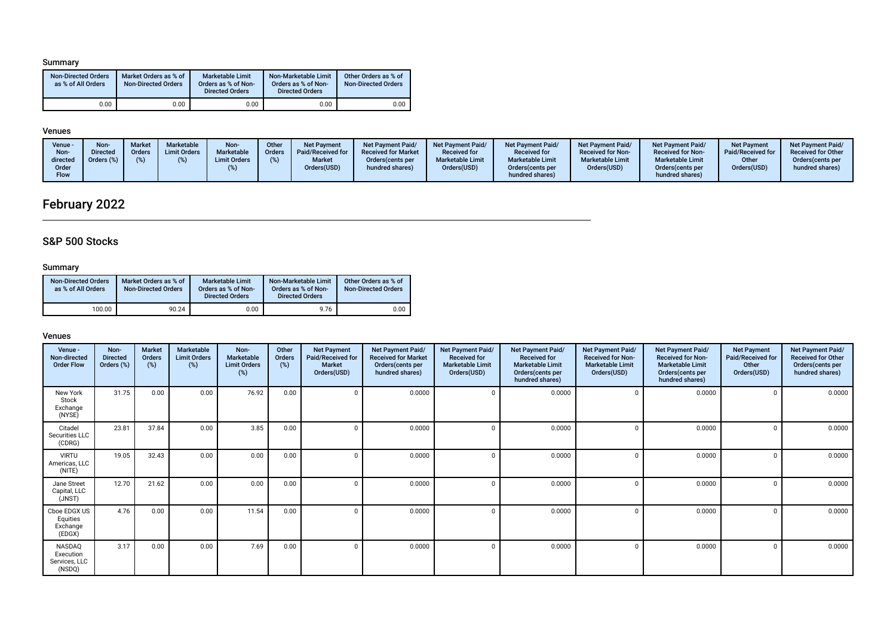## Summary

| <b>Non-Directed Orders</b><br>as % of All Orders | Market Orders as % of<br><b>Non-Directed Orders</b> | <b>Marketable Limit</b><br>Orders as % of Non-<br><b>Directed Orders</b> | Non-Marketable Limit<br>Orders as % of Non-<br><b>Directed Orders</b> | Other Orders as % of<br><b>Non-Directed Orders</b> |
|--------------------------------------------------|-----------------------------------------------------|--------------------------------------------------------------------------|-----------------------------------------------------------------------|----------------------------------------------------|
| 0.00                                             | 0.00                                                | 0.00                                                                     | 0.00                                                                  | 0.00                                               |

# Venues

| Venue -<br>Non-<br>directed<br>Order<br><b>Flow</b> | <b>Non</b><br><b>Directed</b><br>Orders (%) | Market<br>Orders | Marketable<br><b>Limit Orders</b> | Non-<br>Marketable<br><b>Limit Orders</b> | Other<br><b>Orders</b> | <b>Net Payment</b><br>Paid/Received for<br><b>Market</b><br>Orders(USD) | <b>Net Payment Paid/</b><br><b>Received for Market</b><br>Orders (cents per<br>hundred shares) | <b>Net Payment Paid/</b><br><b>Received for</b><br><b>Marketable Limit</b><br>Orders(USD) | <b>Net Payment Paid/</b><br><b>Received for</b><br><b>Marketable Limit</b><br>Orders (cents per<br>hundred shares) | <b>Net Payment Paid/</b><br><b>Received for Non-</b><br><b>Marketable Limit</b><br>Orders(USD) | <b>Net Payment Paid/</b><br><b>Received for Non-</b><br><b>Marketable Limit</b><br>Orders(cents per<br>hundred shares) | <b>Net Payment</b><br>Paid/Received for<br>Other<br>Orders(USD) | <b>Net Payment Paid/</b><br><b>Received for Other</b><br>Orders(cents per<br>hundred shares) |
|-----------------------------------------------------|---------------------------------------------|------------------|-----------------------------------|-------------------------------------------|------------------------|-------------------------------------------------------------------------|------------------------------------------------------------------------------------------------|-------------------------------------------------------------------------------------------|--------------------------------------------------------------------------------------------------------------------|------------------------------------------------------------------------------------------------|------------------------------------------------------------------------------------------------------------------------|-----------------------------------------------------------------|----------------------------------------------------------------------------------------------|
|-----------------------------------------------------|---------------------------------------------|------------------|-----------------------------------|-------------------------------------------|------------------------|-------------------------------------------------------------------------|------------------------------------------------------------------------------------------------|-------------------------------------------------------------------------------------------|--------------------------------------------------------------------------------------------------------------------|------------------------------------------------------------------------------------------------|------------------------------------------------------------------------------------------------------------------------|-----------------------------------------------------------------|----------------------------------------------------------------------------------------------|

# February 2022

# S&P 500 Stocks

## Summary

| <b>Non-Directed Orders</b><br>as % of All Orders | Market Orders as % of<br><b>Non-Directed Orders</b> | Marketable Limit<br>Orders as % of Non-<br><b>Directed Orders</b> | Non-Marketable Limit<br>Orders as % of Non-<br><b>Directed Orders</b> | Other Orders as % of<br><b>Non-Directed Orders</b> |
|--------------------------------------------------|-----------------------------------------------------|-------------------------------------------------------------------|-----------------------------------------------------------------------|----------------------------------------------------|
| 100.00                                           | 90.24                                               | 0.00                                                              | 9.76                                                                  | 0.00                                               |

| Venue -<br>Non-directed<br><b>Order Flow</b>   | Non-<br><b>Directed</b><br>Orders (%) | <b>Market</b><br>Orders<br>$(\%)$ | Marketable<br><b>Limit Orders</b><br>$(\%)$ | Non-<br><b>Marketable</b><br><b>Limit Orders</b><br>(%) | Other<br>Orders<br>(%) | <b>Net Payment</b><br>Paid/Received for<br><b>Market</b><br>Orders(USD) | Net Payment Paid/<br><b>Received for Market</b><br>Orders(cents per<br>hundred shares) | Net Payment Paid/<br><b>Received for</b><br><b>Marketable Limit</b><br>Orders(USD) | Net Payment Paid/<br><b>Received for</b><br><b>Marketable Limit</b><br>Orders(cents per<br>hundred shares) | Net Payment Paid/<br><b>Received for Non-</b><br><b>Marketable Limit</b><br>Orders(USD) | <b>Net Payment Paid/</b><br><b>Received for Non-</b><br><b>Marketable Limit</b><br>Orders(cents per<br>hundred shares) | <b>Net Payment</b><br>Paid/Received for<br>Other<br>Orders(USD) | Net Payment Paid/<br><b>Received for Other</b><br>Orders(cents per<br>hundred shares) |
|------------------------------------------------|---------------------------------------|-----------------------------------|---------------------------------------------|---------------------------------------------------------|------------------------|-------------------------------------------------------------------------|----------------------------------------------------------------------------------------|------------------------------------------------------------------------------------|------------------------------------------------------------------------------------------------------------|-----------------------------------------------------------------------------------------|------------------------------------------------------------------------------------------------------------------------|-----------------------------------------------------------------|---------------------------------------------------------------------------------------|
| New York<br>Stock<br>Exchange<br>(NYSE)        | 31.75                                 | 0.00                              | 0.00                                        | 76.92                                                   | 0.00                   | 0                                                                       | 0.0000                                                                                 |                                                                                    | 0.0000                                                                                                     |                                                                                         | 0.0000                                                                                                                 |                                                                 | 0.0000                                                                                |
| Citadel<br>Securities LLC<br>(CDRG)            | 23.81                                 | 37.84                             | 0.00                                        | 3.85                                                    | 0.00                   | $\Omega$                                                                | 0.0000                                                                                 |                                                                                    | 0.0000                                                                                                     |                                                                                         | 0.0000                                                                                                                 |                                                                 | 0.0000                                                                                |
| <b>VIRTU</b><br>Americas, LLC<br>(NITE)        | 19.05                                 | 32.43                             | 0.00                                        | 0.00                                                    | 0.00                   | $\Omega$                                                                | 0.0000                                                                                 |                                                                                    | 0.0000                                                                                                     |                                                                                         | 0.0000                                                                                                                 |                                                                 | 0.0000                                                                                |
| Jane Street<br>Capital, LLC<br>(JNST)          | 12.70                                 | 21.62                             | 0.00                                        | 0.00                                                    | 0.00                   | 0                                                                       | 0.0000                                                                                 |                                                                                    | 0.0000                                                                                                     | $\Omega$                                                                                | 0.0000                                                                                                                 |                                                                 | 0.0000                                                                                |
| Cboe EDGX US<br>Equities<br>Exchange<br>(EDGX) | 4.76                                  | 0.00                              | 0.00                                        | 11.54                                                   | 0.00                   | 0                                                                       | 0.0000                                                                                 |                                                                                    | 0.0000                                                                                                     | $\Omega$                                                                                | 0.0000                                                                                                                 |                                                                 | 0.0000                                                                                |
| NASDAQ<br>Execution<br>Services, LLC<br>(NSDQ) | 3.17                                  | 0.00                              | 0.00                                        | 7.69                                                    | 0.00                   | $\Omega$                                                                | 0.0000                                                                                 | $\Omega$                                                                           | 0.0000                                                                                                     | $\Omega$                                                                                | 0.0000                                                                                                                 |                                                                 | 0.0000                                                                                |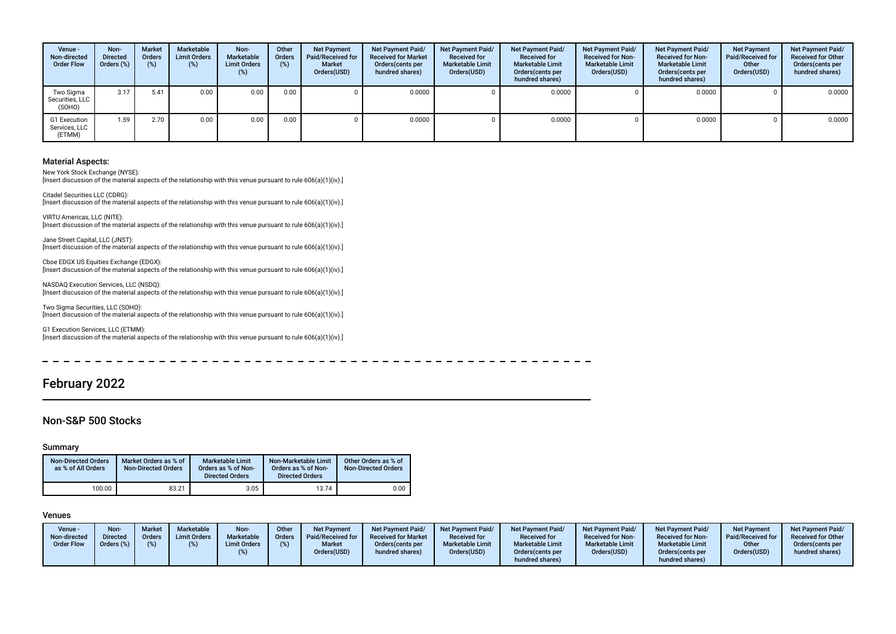| Venue -<br>Non-directed<br><b>Order Flow</b> | Non-<br><b>Directed</b><br>Orders (%) | <b>Market</b><br>Orders<br>(%) | Marketable<br><b>Limit Orders</b><br>$(\%)$ | Non-<br>Marketable<br><b>Limit Orders</b><br>$(\%)$ | Other<br>Orders<br>(%) | <b>Net Payment</b><br>Paid/Received for<br>Market<br>Orders(USD) | Net Payment Paid/<br><b>Received for Market</b><br>Orders(cents per<br>hundred shares) | <b>Net Payment Paid/</b><br><b>Received for</b><br><b>Marketable Limit</b><br>Orders(USD) | Net Payment Paid/<br><b>Received for</b><br><b>Marketable Limit</b><br>Orders (cents per<br>hundred shares) | <b>Net Payment Paid/</b><br><b>Received for Non-</b><br><b>Marketable Limit</b><br>Orders(USD) | Net Payment Paid/<br><b>Received for Non-</b><br><b>Marketable Limit</b><br>Orders(cents per<br>hundred shares) | <b>Net Payment</b><br><b>Paid/Received for</b><br>Other<br>Orders(USD) | Net Payment Paid/<br><b>Received for Other</b><br>Orders (cents per<br>hundred shares) |
|----------------------------------------------|---------------------------------------|--------------------------------|---------------------------------------------|-----------------------------------------------------|------------------------|------------------------------------------------------------------|----------------------------------------------------------------------------------------|-------------------------------------------------------------------------------------------|-------------------------------------------------------------------------------------------------------------|------------------------------------------------------------------------------------------------|-----------------------------------------------------------------------------------------------------------------|------------------------------------------------------------------------|----------------------------------------------------------------------------------------|
| Two Sigma<br>Securities, LLC<br>(SOHO)       | 3.17                                  | 5.41                           | 0.00                                        | 0.00                                                | 0.00                   |                                                                  | 0.0000                                                                                 |                                                                                           | 0.0000                                                                                                      |                                                                                                | 0.0000                                                                                                          |                                                                        | 0.0000                                                                                 |
| G1 Execution<br>Services, LLC<br>(ETMM)      | 1.59                                  | 2.70                           | 0.00                                        | 0.00                                                | 0.00                   |                                                                  | 0.0000                                                                                 |                                                                                           | 0.0000                                                                                                      |                                                                                                | 0.0000                                                                                                          |                                                                        | 0.0000                                                                                 |

New York Stock Exchange (NYSE): [Insert discussion of the material aspects of the relationship with this venue pursuant to rule 606(a)(1)(iv).]

Citadel Securities LLC (CDRG): [Insert discussion of the material aspects of the relationship with this venue pursuant to rule 606(a)(1)(iv).]

VIRTU Americas, LLC (NITE): [Insert discussion of the material aspects of the relationship with this venue pursuant to rule 606(a)(1)(iv).]

Jane Street Capital, LLC (JNST): [Insert discussion of the material aspects of the relationship with this venue pursuant to rule 606(a)(1)(iv).]

Cboe EDGX US Equities Exchange (EDGX): [Insert discussion of the material aspects of the relationship with this venue pursuant to rule 606(a)(1)(iv).]

NASDAQ Execution Services, LLC (NSDQ): [Insert discussion of the material aspects of the relationship with this venue pursuant to rule 606(a)(1)(iv).]

Two Sigma Securities, LLC (SOHO): [Insert discussion of the material aspects of the relationship with this venue pursuant to rule  $606(a)(1)(iv)$ .]

G1 Execution Services, LLC (ETMM): [Insert discussion of the material aspects of the relationship with this venue pursuant to rule 606(a)(1)(iv).]

# February 2022

### Non-S&P 500 Stocks

#### Summary

| <b>Non-Directed Orders</b><br>as % of All Orders | Market Orders as % of<br><b>Non-Directed Orders</b> | <b>Marketable Limit</b><br>Orders as % of Non-<br><b>Directed Orders</b> | Non-Marketable Limit<br>Orders as % of Non-<br><b>Directed Orders</b> | Other Orders as % of<br><b>Non-Directed Orders</b> |
|--------------------------------------------------|-----------------------------------------------------|--------------------------------------------------------------------------|-----------------------------------------------------------------------|----------------------------------------------------|
| 100.00                                           | 83.21                                               | 3.05                                                                     | 13.74                                                                 | 0.00                                               |

| Venue -<br>Non-directed<br><b>Order Flow</b> | Non-<br><b>Directed</b><br>$\cdot$ Orders ( $\circ$ ) | <b>Market</b><br><b>Orders</b> | Marketable<br><b>Limit Orders</b> | Non-<br>Marketable<br><b>Limit Orders</b> | Other<br><b>Orders</b><br>(%) | <b>Net Payment</b><br><b>Paid/Received for</b><br><b>Market</b><br>Orders(USD) | <b>Net Payment Paid/</b><br><b>Received for Market</b><br>Orders(cents per<br>hundred shares) | <b>Net Payment Paid/</b><br><b>Received for</b><br><b>Marketable Limit</b><br>Orders(USD) | <b>Net Payment Paid/</b><br><b>Received for</b><br><b>Marketable Limit</b><br>Orders (cents per<br>hundred shares) | <b>Net Payment Paid/</b><br><b>Received for Non-</b><br><b>Marketable Limit</b><br>Orders(USD) | <b>Net Payment Paid/</b><br><b>Received for Non-</b><br><b>Marketable Limit</b><br>Orders(cents per<br>hundred shares) | <b>Net Payment</b><br><b>Paid/Received for</b><br>Other<br>Orders(USD) | <b>Net Payment Paid/</b><br><b>Received for Other</b><br>Orders(cents per<br>hundred shares) |
|----------------------------------------------|-------------------------------------------------------|--------------------------------|-----------------------------------|-------------------------------------------|-------------------------------|--------------------------------------------------------------------------------|-----------------------------------------------------------------------------------------------|-------------------------------------------------------------------------------------------|--------------------------------------------------------------------------------------------------------------------|------------------------------------------------------------------------------------------------|------------------------------------------------------------------------------------------------------------------------|------------------------------------------------------------------------|----------------------------------------------------------------------------------------------|
|----------------------------------------------|-------------------------------------------------------|--------------------------------|-----------------------------------|-------------------------------------------|-------------------------------|--------------------------------------------------------------------------------|-----------------------------------------------------------------------------------------------|-------------------------------------------------------------------------------------------|--------------------------------------------------------------------------------------------------------------------|------------------------------------------------------------------------------------------------|------------------------------------------------------------------------------------------------------------------------|------------------------------------------------------------------------|----------------------------------------------------------------------------------------------|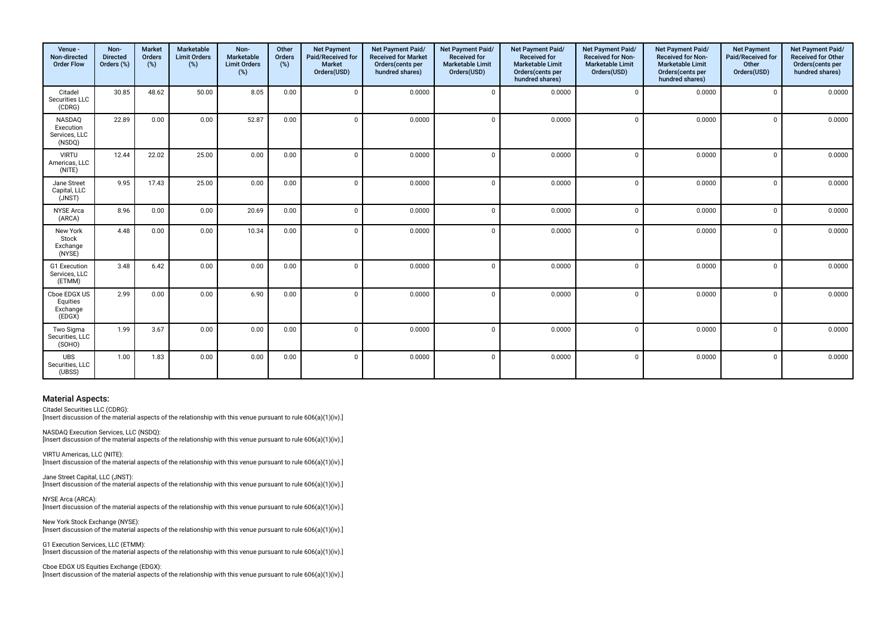| Venue -<br>Non-directed<br><b>Order Flow</b>   | Non-<br><b>Directed</b><br>Orders (%) | <b>Market</b><br>Orders<br>(%) | Marketable<br><b>Limit Orders</b><br>(%) | Non-<br>Marketable<br><b>Limit Orders</b><br>(%) | Other<br>Orders<br>(%) | <b>Net Payment</b><br>Paid/Received for<br><b>Market</b><br>Orders(USD) | Net Payment Paid/<br><b>Received for Market</b><br>Orders(cents per<br>hundred shares) | Net Payment Paid/<br><b>Received for</b><br><b>Marketable Limit</b><br>Orders(USD) | <b>Net Payment Paid/</b><br><b>Received for</b><br><b>Marketable Limit</b><br>Orders(cents per<br>hundred shares) | Net Payment Paid/<br><b>Received for Non-</b><br><b>Marketable Limit</b><br>Orders(USD) | Net Payment Paid/<br><b>Received for Non-</b><br><b>Marketable Limit</b><br>Orders(cents per<br>hundred shares) | <b>Net Payment</b><br>Paid/Received for<br>Other<br>Orders(USD) | Net Payment Paid/<br><b>Received for Other</b><br>Orders(cents per<br>hundred shares) |
|------------------------------------------------|---------------------------------------|--------------------------------|------------------------------------------|--------------------------------------------------|------------------------|-------------------------------------------------------------------------|----------------------------------------------------------------------------------------|------------------------------------------------------------------------------------|-------------------------------------------------------------------------------------------------------------------|-----------------------------------------------------------------------------------------|-----------------------------------------------------------------------------------------------------------------|-----------------------------------------------------------------|---------------------------------------------------------------------------------------|
| Citadel<br>Securities LLC<br>(CDRG)            | 30.85                                 | 48.62                          | 50.00                                    | 8.05                                             | 0.00                   | $\mathbf 0$                                                             | 0.0000                                                                                 | $\Omega$                                                                           | 0.0000                                                                                                            | $\Omega$                                                                                | 0.0000                                                                                                          | $\Omega$                                                        | 0.0000                                                                                |
| NASDAQ<br>Execution<br>Services, LLC<br>(NSDQ) | 22.89                                 | 0.00                           | 0.00                                     | 52.87                                            | 0.00                   | $\mathbf 0$                                                             | 0.0000                                                                                 | $\Omega$                                                                           | 0.0000                                                                                                            | $\Omega$                                                                                | 0.0000                                                                                                          | $\Omega$                                                        | 0.0000                                                                                |
| <b>VIRTU</b><br>Americas, LLC<br>(NITE)        | 12.44                                 | 22.02                          | 25.00                                    | 0.00                                             | 0.00                   | $\Omega$                                                                | 0.0000                                                                                 | $\Omega$                                                                           | 0.0000                                                                                                            | $\Omega$                                                                                | 0.0000                                                                                                          | $\Omega$                                                        | 0.0000                                                                                |
| Jane Street<br>Capital, LLC<br>(JNST)          | 9.95                                  | 17.43                          | 25.00                                    | 0.00                                             | 0.00                   | $\mathbf 0$                                                             | 0.0000                                                                                 | $\Omega$                                                                           | 0.0000                                                                                                            | $\Omega$                                                                                | 0.0000                                                                                                          | $\Omega$                                                        | 0.0000                                                                                |
| <b>NYSE</b> Arca<br>(ARCA)                     | 8.96                                  | 0.00                           | 0.00                                     | 20.69                                            | 0.00                   | $\mathbf 0$                                                             | 0.0000                                                                                 | $\Omega$                                                                           | 0.0000                                                                                                            | $\Omega$                                                                                | 0.0000                                                                                                          | $\Omega$                                                        | 0.0000                                                                                |
| New York<br>Stock<br>Exchange<br>(NYSE)        | 4.48                                  | 0.00                           | 0.00                                     | 10.34                                            | 0.00                   | $\Omega$                                                                | 0.0000                                                                                 | $\Omega$                                                                           | 0.0000                                                                                                            | $\Omega$                                                                                | 0.0000                                                                                                          | $\Omega$                                                        | 0.0000                                                                                |
| G1 Execution<br>Services, LLC<br>(ETMM)        | 3.48                                  | 6.42                           | 0.00                                     | 0.00                                             | 0.00                   | $\Omega$                                                                | 0.0000                                                                                 | $\Omega$                                                                           | 0.0000                                                                                                            | $\Omega$                                                                                | 0.0000                                                                                                          | $\Omega$                                                        | 0.0000                                                                                |
| Cboe EDGX US<br>Equities<br>Exchange<br>(EDGX) | 2.99                                  | 0.00                           | 0.00                                     | 6.90                                             | 0.00                   | $\Omega$                                                                | 0.0000                                                                                 | $\Omega$                                                                           | 0.0000                                                                                                            | $\Omega$                                                                                | 0.0000                                                                                                          | $\Omega$                                                        | 0.0000                                                                                |
| Two Sigma<br>Securities, LLC<br>(SOHO)         | 1.99                                  | 3.67                           | 0.00                                     | 0.00                                             | 0.00                   | $\Omega$                                                                | 0.0000                                                                                 | $\Omega$                                                                           | 0.0000                                                                                                            | $\Omega$                                                                                | 0.0000                                                                                                          | $\Omega$                                                        | 0.0000                                                                                |
| <b>UBS</b><br>Securities, LLC<br>(UBSS)        | 1.00                                  | 1.83                           | 0.00                                     | 0.00                                             | 0.00                   | $\Omega$                                                                | 0.0000                                                                                 | $\Omega$                                                                           | 0.0000                                                                                                            | $\Omega$                                                                                | 0.0000                                                                                                          | $\Omega$                                                        | 0.0000                                                                                |

Citadel Securities LLC (CDRG):

[Insert discussion of the material aspects of the relationship with this venue pursuant to rule 606(a)(1)(iv).]

NASDAQ Execution Services, LLC (NSDQ): [Insert discussion of the material aspects of the relationship with this venue pursuant to rule 606(a)(1)(iv).]

VIRTU Americas, LLC (NITE): [Insert discussion of the material aspects of the relationship with this venue pursuant to rule 606(a)(1)(iv).]

Jane Street Capital, LLC (JNST): [Insert discussion of the material aspects of the relationship with this venue pursuant to rule 606(a)(1)(iv).]

NYSE Arca (ARCA): [Insert discussion of the material aspects of the relationship with this venue pursuant to rule 606(a)(1)(iv).]

New York Stock Exchange (NYSE): [Insert discussion of the material aspects of the relationship with this venue pursuant to rule 606(a)(1)(iv).]

G1 Execution Services, LLC (ETMM): [Insert discussion of the material aspects of the relationship with this venue pursuant to rule 606(a)(1)(iv).]

Cboe EDGX US Equities Exchange (EDGX): [Insert discussion of the material aspects of the relationship with this venue pursuant to rule 606(a)(1)(iv).]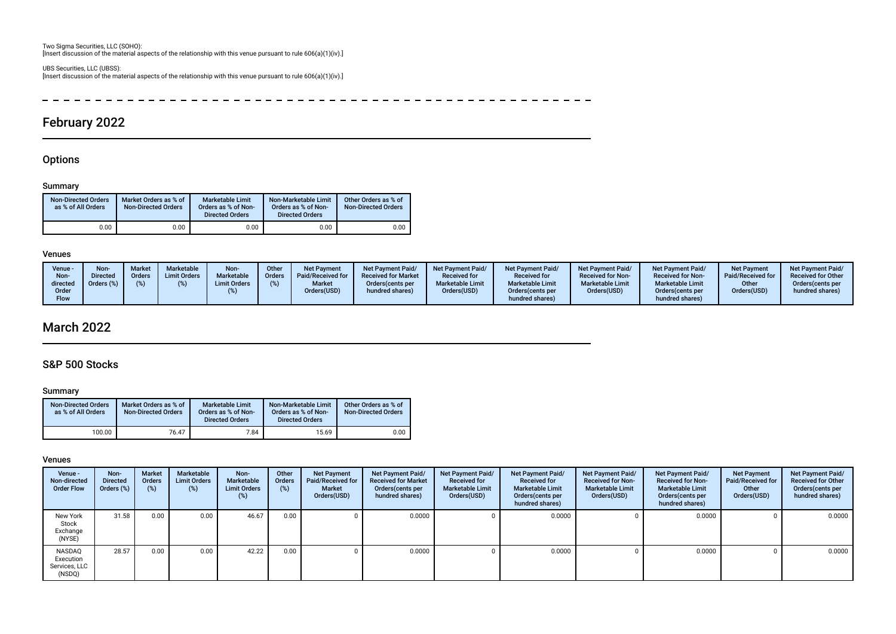Two Sigma Securities, LLC (SOHO): [Insert discussion of the material aspects of the relationship with this venue pursuant to rule 606(a)(1)(iv).]

UBS Securities, LLC (UBSS): [Insert discussion of the material aspects of the relationship with this venue pursuant to rule 606(a)(1)(iv).]

 $\overline{a}$ - - - - $\sim$   $\sim$  $\sim$   $\sim$  $\sim$   $\sim$  $\frac{1}{2}$  $\sim$   $\sim$  $\sim$   $\sim$  $\sim$  $\sim$  $\sim$  $\sim$   $\sim$  $\sim$   $\sim$  $\sim$   $\sim$  $\sim$   $\sim$  $\sim$   $\sim$  $- - - - - - - \sim$   $-$ 

# February 2022

# **Options**

### Summary

| <b>Non-Directed Orders</b><br>as % of All Orders | Market Orders as % of<br><b>Non-Directed Orders</b> | <b>Marketable Limit</b><br>Orders as % of Non-<br><b>Directed Orders</b> | Non-Marketable Limit<br>Orders as % of Non-<br><b>Directed Orders</b> | Other Orders as % of<br><b>Non-Directed Orders</b> |
|--------------------------------------------------|-----------------------------------------------------|--------------------------------------------------------------------------|-----------------------------------------------------------------------|----------------------------------------------------|
| 0.00                                             | 0.00                                                | 0.00                                                                     | 0.00                                                                  | 0.00                                               |

### Venues

| Venue -<br>Non-<br>directed<br>Order<br>Flow | Non-<br><b>Directed</b><br>Orders (%) | <b>Market</b><br><b>Orders</b> | Marketable<br><b>Limit Orders</b> | Non-<br>Marketable<br><b>Limit Orders</b> | Other<br><b>Orders</b> | <b>Net Payment</b><br>Paid/Received for<br><b>Market</b><br>Orders(USD) | <b>Net Payment Paid/</b><br><b>Received for Market</b><br>Orders (cents per<br>hundred shares) | Net Payment Paid/<br><b>Received for</b><br><b>Marketable Limit</b><br>Orders(USD) | <b>Net Payment Paid/</b><br><b>Received for</b><br><b>Marketable Limit</b><br>Orders (cents per<br>hundred shares) | Net Payment Paid/<br><b>Received for Non-</b><br><b>Marketable Limit</b><br>Orders(USD) | <b>Net Payment Paid/</b><br><b>Received for Non-</b><br><b>Marketable Limit</b><br>Orders (cents per<br>hundred shares) | <b>Net Payment</b><br>Paid/Received for<br>Other<br>Orders(USD) | Net Payment Paid/<br><b>Received for Other</b><br>Orders(cents per<br>hundred shares) |
|----------------------------------------------|---------------------------------------|--------------------------------|-----------------------------------|-------------------------------------------|------------------------|-------------------------------------------------------------------------|------------------------------------------------------------------------------------------------|------------------------------------------------------------------------------------|--------------------------------------------------------------------------------------------------------------------|-----------------------------------------------------------------------------------------|-------------------------------------------------------------------------------------------------------------------------|-----------------------------------------------------------------|---------------------------------------------------------------------------------------|
|----------------------------------------------|---------------------------------------|--------------------------------|-----------------------------------|-------------------------------------------|------------------------|-------------------------------------------------------------------------|------------------------------------------------------------------------------------------------|------------------------------------------------------------------------------------|--------------------------------------------------------------------------------------------------------------------|-----------------------------------------------------------------------------------------|-------------------------------------------------------------------------------------------------------------------------|-----------------------------------------------------------------|---------------------------------------------------------------------------------------|

# March 2022

# S&P 500 Stocks

#### Summary

| <b>Non-Directed Orders</b><br>as % of All Orders | Market Orders as % of<br><b>Non-Directed Orders</b> | <b>Marketable Limit</b><br>Orders as % of Non-<br><b>Directed Orders</b> | Non-Marketable Limit<br>Orders as % of Non-<br><b>Directed Orders</b> | Other Orders as % of<br><b>Non-Directed Orders</b> |
|--------------------------------------------------|-----------------------------------------------------|--------------------------------------------------------------------------|-----------------------------------------------------------------------|----------------------------------------------------|
| 100.00                                           | 76.47                                               | 7.84                                                                     | 15.69                                                                 | 0.00                                               |

| Venue -<br>Non-directed<br><b>Order Flow</b>   | Non-<br><b>Directed</b><br>Orders (%) | <b>Market</b><br>Orders<br>(%) | Marketable<br><b>Limit Orders</b><br>$(\%)$ | Non-<br>Marketable<br><b>Limit Orders</b><br>$(\%)$ | Other<br>Orders<br>(%) | <b>Net Payment</b><br>Paid/Received for<br><b>Market</b><br>Orders(USD) | Net Payment Paid/<br><b>Received for Market</b><br>Orders (cents per<br>hundred shares) | Net Payment Paid/<br><b>Received for</b><br><b>Marketable Limit</b><br>Orders(USD) | Net Payment Paid/<br><b>Received for</b><br><b>Marketable Limit</b><br>Orders (cents per<br>hundred shares) | Net Payment Paid/<br><b>Received for Non-</b><br><b>Marketable Limit</b><br>Orders(USD) | Net Payment Paid/<br><b>Received for Non-</b><br><b>Marketable Limit</b><br>Orders (cents per<br>hundred shares) | <b>Net Payment</b><br>Paid/Received for<br>Other<br>Orders(USD) | Net Payment Paid/<br><b>Received for Other</b><br>Orders(cents per<br>hundred shares) |
|------------------------------------------------|---------------------------------------|--------------------------------|---------------------------------------------|-----------------------------------------------------|------------------------|-------------------------------------------------------------------------|-----------------------------------------------------------------------------------------|------------------------------------------------------------------------------------|-------------------------------------------------------------------------------------------------------------|-----------------------------------------------------------------------------------------|------------------------------------------------------------------------------------------------------------------|-----------------------------------------------------------------|---------------------------------------------------------------------------------------|
| New York<br>Stock<br>Exchange<br>(NYSE)        | 31.58                                 | 0.00                           | 0.00                                        | 46.67                                               | 0.00                   |                                                                         | 0.0000                                                                                  |                                                                                    | 0.0000                                                                                                      |                                                                                         | 0.0000                                                                                                           |                                                                 | 0.0000                                                                                |
| NASDAQ<br>Execution<br>Services, LLC<br>(NSDQ) | 28.57                                 | 0.00                           | 0.00                                        | 42.22                                               | 0.00                   |                                                                         | 0.0000                                                                                  |                                                                                    | 0.0000                                                                                                      |                                                                                         | 0.0000                                                                                                           |                                                                 | 0.0000                                                                                |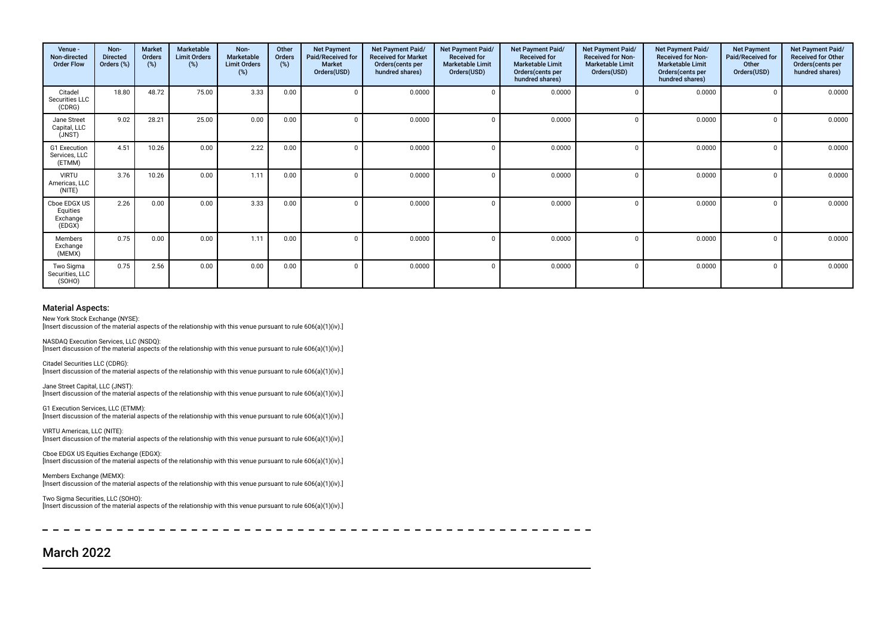| Venue -<br>Non-directed<br><b>Order Flow</b>   | Non-<br><b>Directed</b><br>Orders (%) | <b>Market</b><br><b>Orders</b><br>(%) | Marketable<br><b>Limit Orders</b><br>(%) | Non-<br>Marketable<br><b>Limit Orders</b><br>(%) | Other<br>Orders<br>(%) | <b>Net Payment</b><br>Paid/Received for<br><b>Market</b><br>Orders(USD) | Net Payment Paid/<br><b>Received for Market</b><br>Orders (cents per<br>hundred shares) | Net Payment Paid/<br><b>Received for</b><br><b>Marketable Limit</b><br>Orders(USD) | <b>Net Payment Paid/</b><br><b>Received for</b><br><b>Marketable Limit</b><br>Orders(cents per<br>hundred shares) | Net Payment Paid/<br><b>Received for Non-</b><br><b>Marketable Limit</b><br>Orders(USD) | Net Payment Paid/<br><b>Received for Non-</b><br><b>Marketable Limit</b><br>Orders(cents per<br>hundred shares) | <b>Net Payment</b><br>Paid/Received for<br>Other<br>Orders(USD) | Net Payment Paid/<br><b>Received for Other</b><br>Orders(cents per<br>hundred shares) |
|------------------------------------------------|---------------------------------------|---------------------------------------|------------------------------------------|--------------------------------------------------|------------------------|-------------------------------------------------------------------------|-----------------------------------------------------------------------------------------|------------------------------------------------------------------------------------|-------------------------------------------------------------------------------------------------------------------|-----------------------------------------------------------------------------------------|-----------------------------------------------------------------------------------------------------------------|-----------------------------------------------------------------|---------------------------------------------------------------------------------------|
| Citadel<br>Securities LLC<br>(CDRG)            | 18.80                                 | 48.72                                 | 75.00                                    | 3.33                                             | 0.00                   |                                                                         | 0.0000                                                                                  |                                                                                    | 0.0000                                                                                                            |                                                                                         | 0.0000                                                                                                          |                                                                 | 0.0000                                                                                |
| Jane Street<br>Capital, LLC<br>(JNST)          | 9.02                                  | 28.21                                 | 25.00                                    | 0.00                                             | 0.00                   |                                                                         | 0.0000                                                                                  |                                                                                    | 0.0000                                                                                                            |                                                                                         | 0.0000                                                                                                          |                                                                 | 0.0000                                                                                |
| G1 Execution<br>Services, LLC<br>(ETMM)        | 4.51                                  | 10.26                                 | 0.00                                     | 2.22                                             | 0.00                   |                                                                         | 0.0000                                                                                  |                                                                                    | 0.0000                                                                                                            |                                                                                         | 0.0000                                                                                                          |                                                                 | 0.0000                                                                                |
| <b>VIRTU</b><br>Americas, LLC<br>(NITE)        | 3.76                                  | 10.26                                 | 0.00                                     | 1.11                                             | 0.00                   |                                                                         | 0.0000                                                                                  |                                                                                    | 0.0000                                                                                                            |                                                                                         | 0.0000                                                                                                          |                                                                 | 0.0000                                                                                |
| Cboe EDGX US<br>Equities<br>Exchange<br>(EDGX) | 2.26                                  | 0.00                                  | 0.00                                     | 3.33                                             | 0.00                   |                                                                         | 0.0000                                                                                  |                                                                                    | 0.0000                                                                                                            |                                                                                         | 0.0000                                                                                                          |                                                                 | 0.0000                                                                                |
| Members<br>Exchange<br>(MEMX)                  | 0.75                                  | 0.00                                  | 0.00                                     | 1.11                                             | 0.00                   |                                                                         | 0.0000                                                                                  |                                                                                    | 0.0000                                                                                                            |                                                                                         | 0.0000                                                                                                          |                                                                 | 0.0000                                                                                |
| Two Sigma<br>Securities, LLC<br>(SOHO)         | 0.75                                  | 2.56                                  | 0.00                                     | 0.00                                             | 0.00                   |                                                                         | 0.0000                                                                                  |                                                                                    | 0.0000                                                                                                            |                                                                                         | 0.0000                                                                                                          |                                                                 | 0.0000                                                                                |

New York Stock Exchange (NYSE):

[Insert discussion of the material aspects of the relationship with this venue pursuant to rule 606(a)(1)(iv).]

NASDAQ Execution Services, LLC (NSDQ): [Insert discussion of the material aspects of the relationship with this venue pursuant to rule 606(a)(1)(iv).]

Citadel Securities LLC (CDRG): [Insert discussion of the material aspects of the relationship with this venue pursuant to rule 606(a)(1)(iv).]

Jane Street Capital, LLC (JNST): [Insert discussion of the material aspects of the relationship with this venue pursuant to rule 606(a)(1)(iv).]

G1 Execution Services, LLC (ETMM): [Insert discussion of the material aspects of the relationship with this venue pursuant to rule 606(a)(1)(iv).]

VIRTU Americas, LLC (NITE): [Insert discussion of the material aspects of the relationship with this venue pursuant to rule 606(a)(1)(iv).]

Cboe EDGX US Equities Exchange (EDGX): [Insert discussion of the material aspects of the relationship with this venue pursuant to rule 606(a)(1)(iv).]

Members Exchange (MEMX): [Insert discussion of the material aspects of the relationship with this venue pursuant to rule 606(a)(1)(iv).]

Two Sigma Securities, LLC (SOHO): [Insert discussion of the material aspects of the relationship with this venue pursuant to rule 606(a)(1)(iv).]

# March 2022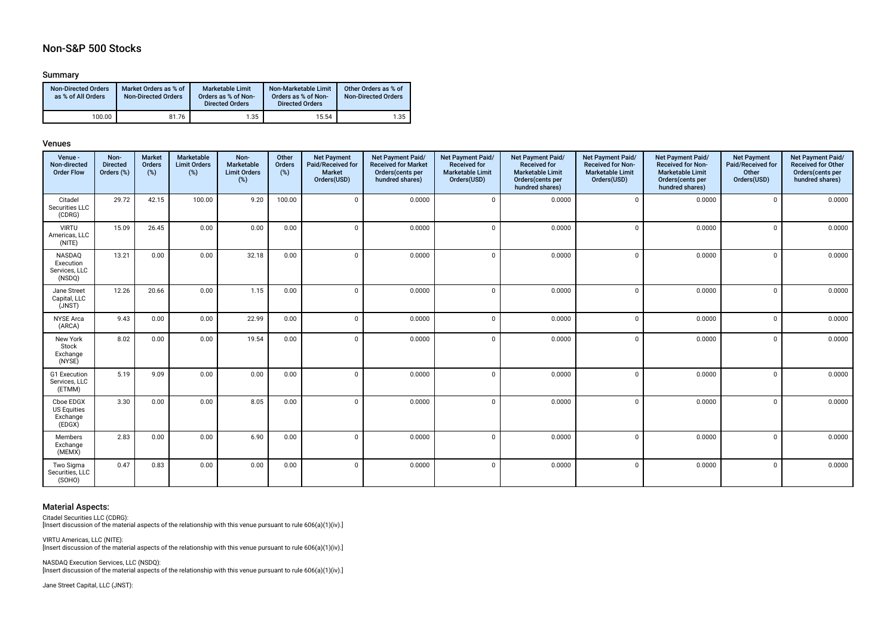# Non-S&P 500 Stocks

## Summary

| <b>Non-Directed Orders</b><br>as % of All Orders | Market Orders as % of<br><b>Non-Directed Orders</b> | <b>Marketable Limit</b><br>Orders as % of Non-<br><b>Directed Orders</b> | Non-Marketable Limit<br>Orders as % of Non-<br><b>Directed Orders</b> | Other Orders as % of<br><b>Non-Directed Orders</b> |
|--------------------------------------------------|-----------------------------------------------------|--------------------------------------------------------------------------|-----------------------------------------------------------------------|----------------------------------------------------|
| 100.00                                           | 81.76                                               | 1.35                                                                     | 15.54                                                                 | 1.35                                               |

#### Venues

| Venue -<br>Non-directed<br><b>Order Flow</b>          | Non-<br><b>Directed</b><br>Orders (%) | <b>Market</b><br>Orders<br>(%) | Marketable<br><b>Limit Orders</b><br>(%) | Non-<br>Marketable<br><b>Limit Orders</b><br>$(\%)$ | Other<br>Orders<br>(%) | <b>Net Payment</b><br>Paid/Received for<br><b>Market</b><br>Orders(USD) | Net Payment Paid/<br><b>Received for Market</b><br>Orders(cents per<br>hundred shares) | Net Payment Paid/<br><b>Received for</b><br><b>Marketable Limit</b><br>Orders(USD) | Net Payment Paid/<br><b>Received for</b><br><b>Marketable Limit</b><br>Orders(cents per<br>hundred shares) | Net Payment Paid/<br><b>Received for Non-</b><br><b>Marketable Limit</b><br>Orders(USD) | Net Payment Paid/<br><b>Received for Non-</b><br><b>Marketable Limit</b><br>Orders(cents per<br>hundred shares) | <b>Net Payment</b><br>Paid/Received for<br>Other<br>Orders(USD) | Net Payment Paid/<br><b>Received for Other</b><br>Orders(cents per<br>hundred shares) |
|-------------------------------------------------------|---------------------------------------|--------------------------------|------------------------------------------|-----------------------------------------------------|------------------------|-------------------------------------------------------------------------|----------------------------------------------------------------------------------------|------------------------------------------------------------------------------------|------------------------------------------------------------------------------------------------------------|-----------------------------------------------------------------------------------------|-----------------------------------------------------------------------------------------------------------------|-----------------------------------------------------------------|---------------------------------------------------------------------------------------|
| Citadel<br>Securities LLC<br>(CDRG)                   | 29.72                                 | 42.15                          | 100.00                                   | 9.20                                                | 100.00                 | $\Omega$                                                                | 0.0000                                                                                 | $\Omega$                                                                           | 0.0000                                                                                                     | $\Omega$                                                                                | 0.0000                                                                                                          | $\mathbf 0$                                                     | 0.0000                                                                                |
| <b>VIRTU</b><br>Americas, LLC<br>(NITE)               | 15.09                                 | 26.45                          | 0.00                                     | 0.00                                                | 0.00                   | $\Omega$                                                                | 0.0000                                                                                 | $\Omega$                                                                           | 0.0000                                                                                                     | $\Omega$                                                                                | 0.0000                                                                                                          | $\Omega$                                                        | 0.0000                                                                                |
| NASDAQ<br>Execution<br>Services, LLC<br>(NSDQ)        | 13.21                                 | 0.00                           | 0.00                                     | 32.18                                               | 0.00                   | $\Omega$                                                                | 0.0000                                                                                 | $\Omega$                                                                           | 0.0000                                                                                                     | $\Omega$                                                                                | 0.0000                                                                                                          | $\Omega$                                                        | 0.0000                                                                                |
| Jane Street<br>Capital, LLC<br>(JNST)                 | 12.26                                 | 20.66                          | 0.00                                     | 1.15                                                | 0.00                   | $\Omega$                                                                | 0.0000                                                                                 | $\Omega$                                                                           | 0.0000                                                                                                     | $\Omega$                                                                                | 0.0000                                                                                                          | $\Omega$                                                        | 0.0000                                                                                |
| <b>NYSE Arca</b><br>(ARCA)                            | 9.43                                  | 0.00                           | 0.00                                     | 22.99                                               | 0.00                   | $\mathbf 0$                                                             | 0.0000                                                                                 | $\Omega$                                                                           | 0.0000                                                                                                     | $\Omega$                                                                                | 0.0000                                                                                                          | $\Omega$                                                        | 0.0000                                                                                |
| New York<br>Stock<br>Exchange<br>(NYSE)               | 8.02                                  | 0.00                           | 0.00                                     | 19.54                                               | 0.00                   | $\Omega$                                                                | 0.0000                                                                                 | $\Omega$                                                                           | 0.0000                                                                                                     | $\Omega$                                                                                | 0.0000                                                                                                          | $\Omega$                                                        | 0.0000                                                                                |
| G1 Execution<br>Services, LLC<br>(ETMM)               | 5.19                                  | 9.09                           | 0.00                                     | 0.00                                                | 0.00                   | $\mathbf 0$                                                             | 0.0000                                                                                 | $\Omega$                                                                           | 0.0000                                                                                                     | $\Omega$                                                                                | 0.0000                                                                                                          | $\mathbf{0}$                                                    | 0.0000                                                                                |
| Cboe EDGX<br><b>US Equities</b><br>Exchange<br>(EDGX) | 3.30                                  | 0.00                           | 0.00                                     | 8.05                                                | 0.00                   | $\Omega$                                                                | 0.0000                                                                                 | $\Omega$                                                                           | 0.0000                                                                                                     | $\Omega$                                                                                | 0.0000                                                                                                          | $\mathbf{0}$                                                    | 0.0000                                                                                |
| Members<br>Exchange<br>(MEMX)                         | 2.83                                  | 0.00                           | 0.00                                     | 6.90                                                | 0.00                   | $\Omega$                                                                | 0.0000                                                                                 | $\Omega$                                                                           | 0.0000                                                                                                     | $\Omega$                                                                                | 0.0000                                                                                                          | $\mathbf{0}$                                                    | 0.0000                                                                                |
| Two Sigma<br>Securities, LLC<br>(SOHO)                | 0.47                                  | 0.83                           | 0.00                                     | 0.00                                                | 0.00                   | $\Omega$                                                                | 0.0000                                                                                 | $\Omega$                                                                           | 0.0000                                                                                                     | $\Omega$                                                                                | 0.0000                                                                                                          | $\Omega$                                                        | 0.0000                                                                                |

#### Material Aspects:

Citadel Securities LLC (CDRG): [Insert discussion of the material aspects of the relationship with this venue pursuant to rule 606(a)(1)(iv).]

VIRTU Americas, LLC (NITE): [Insert discussion of the material aspects of the relationship with this venue pursuant to rule 606(a)(1)(iv).]

NASDAQ Execution Services, LLC (NSDQ): [Insert discussion of the material aspects of the relationship with this venue pursuant to rule 606(a)(1)(iv).]

Jane Street Capital, LLC (JNST):